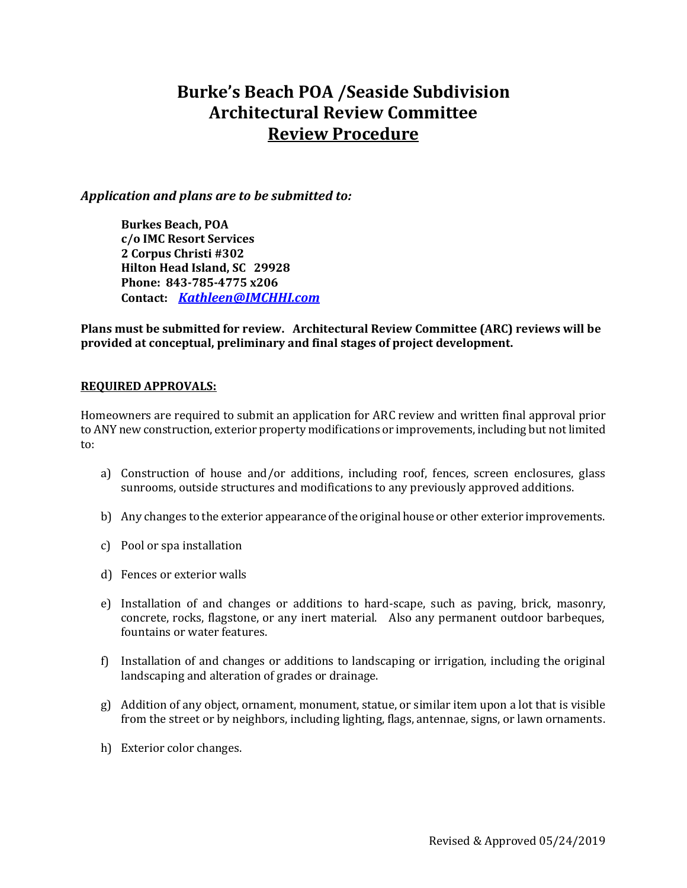# **Burke's Beach POA /Seaside Subdivision Architectural Review Committee Review Procedure**

#### *Application and plans are to be submitted to:*

**Burkes Beach, POA c/o IMC Resort Services 2 Corpus Christi #302 Hilton Head Island, SC 29928 Phone: 843-785-4775 x206 Contact:** *[Kathleen@IMCHHI.com](mailto:Kathleen@IMCHHI.com)*

**Plans must be submitted for review. Architectural Review Committee (ARC) reviews will be provided at conceptual, preliminary and final stages of project development.**

#### **REQUIRED APPROVALS:**

Homeowners are required to submit an application for ARC review and written final approval prior to ANY new construction, exterior property modifications or improvements, including but not limited to:

- a) Construction of house and/or additions, including roof, fences, screen enclosures, glass sunrooms, outside structures and modifications to any previously approved additions.
- b) Any changes to the exterior appearance of the original house or other exterior improvements.
- c) Pool or spa installation
- d) Fences or exterior walls
- e) Installation of and changes or additions to hard-scape, such as paving, brick, masonry, concrete, rocks, flagstone, or any inert material. Also any permanent outdoor barbeques, fountains or water features.
- f) Installation of and changes or additions to landscaping or irrigation, including the original landscaping and alteration of grades or drainage.
- g) Addition of any object, ornament, monument, statue, or similar item upon a lot that is visible from the street or by neighbors, including lighting, flags, antennae, signs, or lawn ornaments.
- h) Exterior color changes.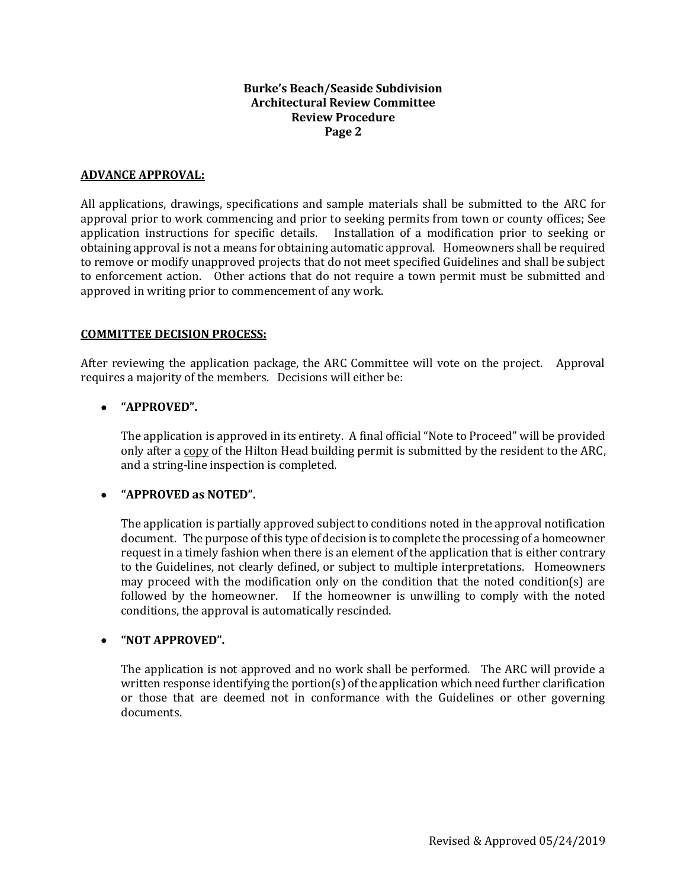#### **Burke's Beach/Seaside Subdivision Architectural Review Committee Review Procedure Page 2**

#### **ADVANCE APPROVAL:**

All applications, drawings, specifications and sample materials shall be submitted to the ARC for approval prior to work commencing and prior to seeking permits from town or county offices; See application instructions for specific details. Installation of a modification prior to seeking or obtaining approval is not a means for obtaining automatic approval. Homeowners shall be required to remove or modify unapproved projects that do not meet specified Guidelines and shall be subject to enforcement action. Other actions that do not require a town permit must be submitted and approved in writing prior to commencement of any work.

#### **COMMITTEE DECISION PROCESS:**

After reviewing the application package, the ARC Committee will vote on the project. Approval requires a majority of the members. Decisions will either be:

## • **"APPROVED".**

The application is approved in its entirety. A final official "Note to Proceed" will be provided only after a copy of the Hilton Head building permit is submitted by the resident to the ARC, and a string-line inspection is completed.

## • **"APPROVED as NOTED".**

The application is partially approved subject to conditions noted in the approval notification document. The purpose of this type of decision is to complete the processing of a homeowner request in a timely fashion when there is an element of the application that is either contrary to the Guidelines, not clearly defined, or subject to multiple interpretations. Homeowners may proceed with the modification only on the condition that the noted condition(s) are followed by the homeowner. If the homeowner is unwilling to comply with the noted conditions, the approval is automatically rescinded.

## • **"NOT APPROVED".**

The application is not approved and no work shall be performed. The ARC will provide a written response identifying the portion(s) of the application which need further clarification or those that are deemed not in conformance with the Guidelines or other governing documents.